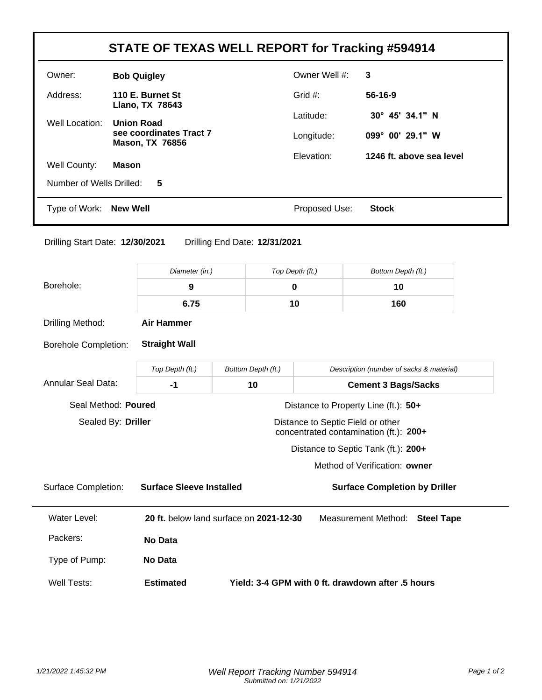|                                 |                   |                                                                                           |                                         |                                        | <b>STATE OF TEXAS WELL REPORT for Tracking #594914</b> |  |
|---------------------------------|-------------------|-------------------------------------------------------------------------------------------|-----------------------------------------|----------------------------------------|--------------------------------------------------------|--|
| Owner:                          |                   | <b>Bob Quigley</b>                                                                        |                                         | Owner Well #:                          | 3                                                      |  |
| Address:<br>110 E. Burnet St    |                   |                                                                                           |                                         | Grid #:                                | 56-16-9                                                |  |
| Well Location:                  |                   | Llano, TX 78643<br><b>Union Road</b><br>see coordinates Tract 7<br><b>Mason, TX 76856</b> |                                         | Latitude:                              | 30° 45' 34.1" N                                        |  |
|                                 |                   |                                                                                           |                                         | Longitude:                             | 099° 00' 29.1" W                                       |  |
| Well County:                    | <b>Mason</b>      |                                                                                           |                                         | Elevation:<br>1246 ft. above sea level |                                                        |  |
| Number of Wells Drilled:        |                   | 5                                                                                         |                                         |                                        |                                                        |  |
| Type of Work:                   | <b>New Well</b>   |                                                                                           |                                         | Proposed Use:<br><b>Stock</b>          |                                                        |  |
| Drilling Start Date: 12/30/2021 |                   |                                                                                           | Drilling End Date: 12/31/2021           |                                        |                                                        |  |
|                                 |                   | Diameter (in.)                                                                            |                                         | Top Depth (ft.)                        | Bottom Depth (ft.)                                     |  |
| Borehole:                       |                   | $\boldsymbol{9}$                                                                          |                                         | $\pmb{0}$                              | 10                                                     |  |
|                                 |                   | 6.75                                                                                      |                                         | 10                                     | 160                                                    |  |
| Drilling Method:                | <b>Air Hammer</b> |                                                                                           |                                         |                                        |                                                        |  |
|                                 |                   |                                                                                           |                                         |                                        |                                                        |  |
| <b>Borehole Completion:</b>     |                   | <b>Straight Wall</b>                                                                      |                                         |                                        |                                                        |  |
|                                 |                   | Top Depth (ft.)                                                                           | Bottom Depth (ft.)                      |                                        | Description (number of sacks & material)               |  |
|                                 |                   | $-1$                                                                                      | 10                                      |                                        | <b>Cement 3 Bags/Sacks</b>                             |  |
| Seal Method: Poured             |                   |                                                                                           |                                         | Distance to Property Line (ft.): 50+   |                                                        |  |
| Sealed By: Driller              |                   |                                                                                           |                                         | Distance to Septic Field or other      | concentrated contamination (ft.): 200+                 |  |
| <b>Annular Seal Data:</b>       |                   |                                                                                           |                                         |                                        | Distance to Septic Tank (ft.): 200+                    |  |
|                                 |                   |                                                                                           |                                         |                                        | Method of Verification: owner                          |  |
| <b>Surface Completion:</b>      |                   | <b>Surface Sleeve Installed</b>                                                           |                                         |                                        | <b>Surface Completion by Driller</b>                   |  |
| <b>Water Level:</b>             |                   |                                                                                           | 20 ft. below land surface on 2021-12-30 |                                        | <b>Measurement Method:</b><br><b>Steel Tape</b>        |  |
| Packers:                        |                   | <b>No Data</b>                                                                            |                                         |                                        |                                                        |  |
| Type of Pump:                   |                   | No Data                                                                                   |                                         |                                        |                                                        |  |